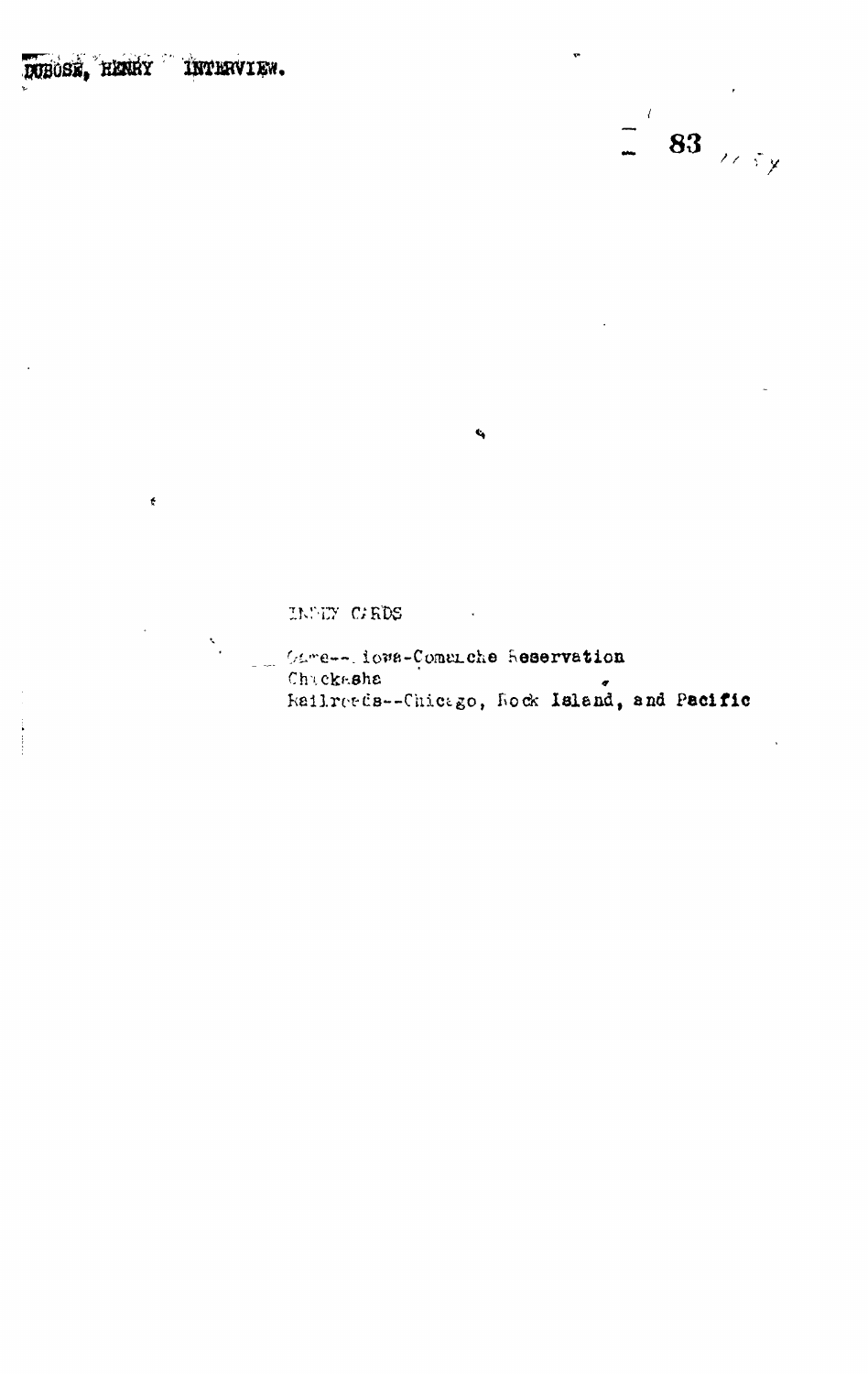## DUBOSE, HENRY INTERVIEW.

¢



INDEY CARDS

Came-- iows-Comenche Reservation Railretch--Chicago, Rock Island, and Pacific

 $\mathbf{c}_i$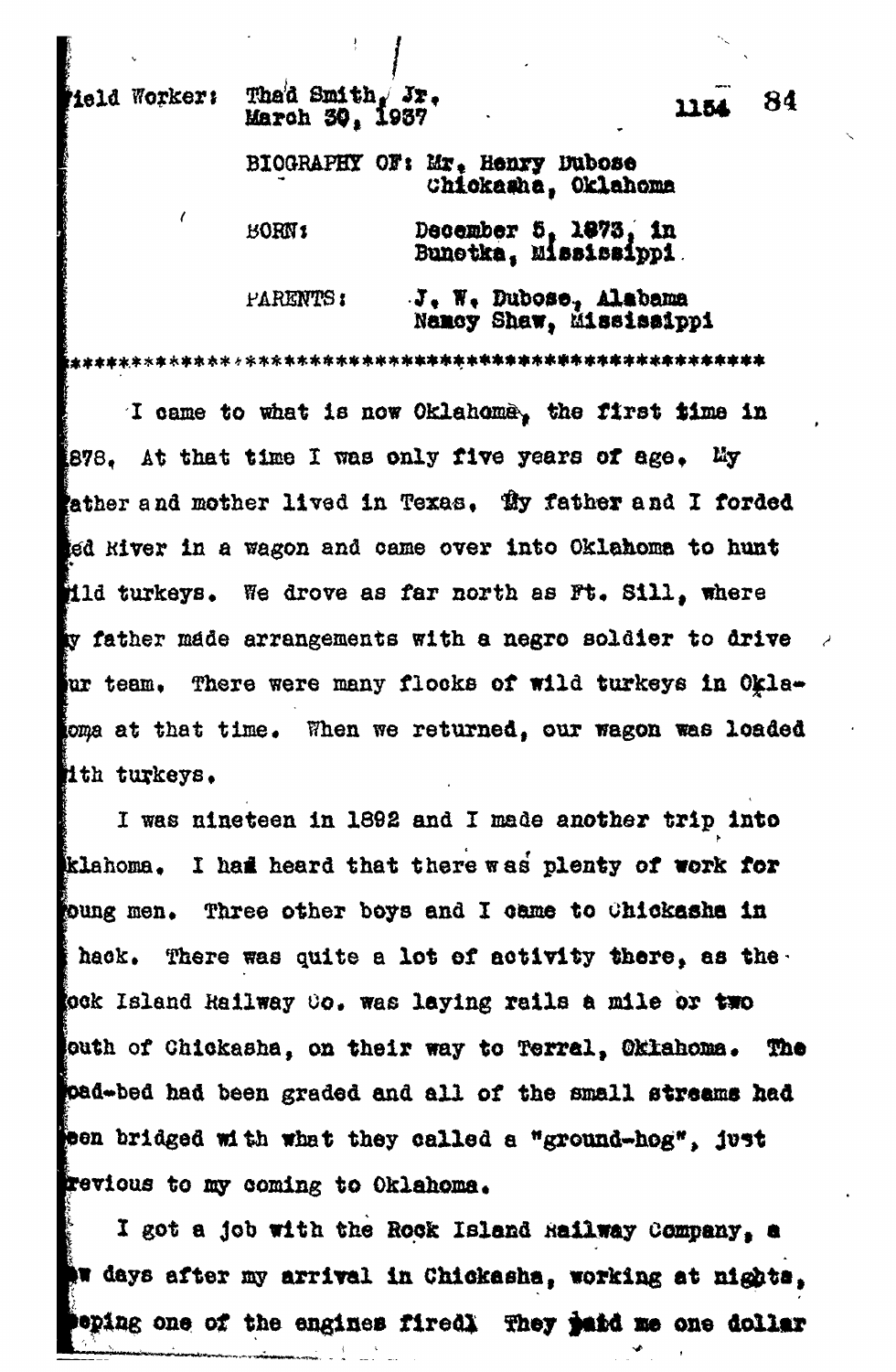Meld Worker:

## Thad Smith,  $Jx$ . March 30, 1937

BIOGRAPHY OF: Mr. Henry Dubose Chickasha, Oklahoma

| <b>BORN</b> <sub>1</sub> | December 5, 1873, in<br>Bunetka, Mississippi             |
|--------------------------|----------------------------------------------------------|
| <b>PARENTS:</b>          | $J_{\ast}$ W. Dubose, Alabama<br>Namoy Shaw, Mississippi |

I came to what is now Oklahoma, the first time in 878. At that time I was only five years of age. **Liy** ather and mother lived in Texas. Hy father and I forded ed kiver in a wagon and came over into Oklahoma to hunt **illd turkeys.** We drove as far north as Ft. Sill, where ty father made arrangements with a negro soldier to drive ur team. There were many flocks of wild turkeys in Oklaoma at that time. When we returned, our wagon was loaded ith turkeys.

I was nineteen in 1892 and I made another trip into klahoma. I had heard that there was plenty of work for toung men. Three other boys and I came to Chickasha in There was quite a lot of activity there, as the. i hack. gok Island Railway Co. was laying rails a mile or two outh of Chickasha, on their way to Terral, Oklahoma. The pad-bed had been graded and all of the small streams had **pen bridged with what they called a "ground-hog", just** revious to my coming to Oklahoma.

I got a job with the Rock Island Railway Company, a **Aw days after my arrival in Chickasha, working at nights,** eping one of the engines firedly They juid me one dollar

84 1154